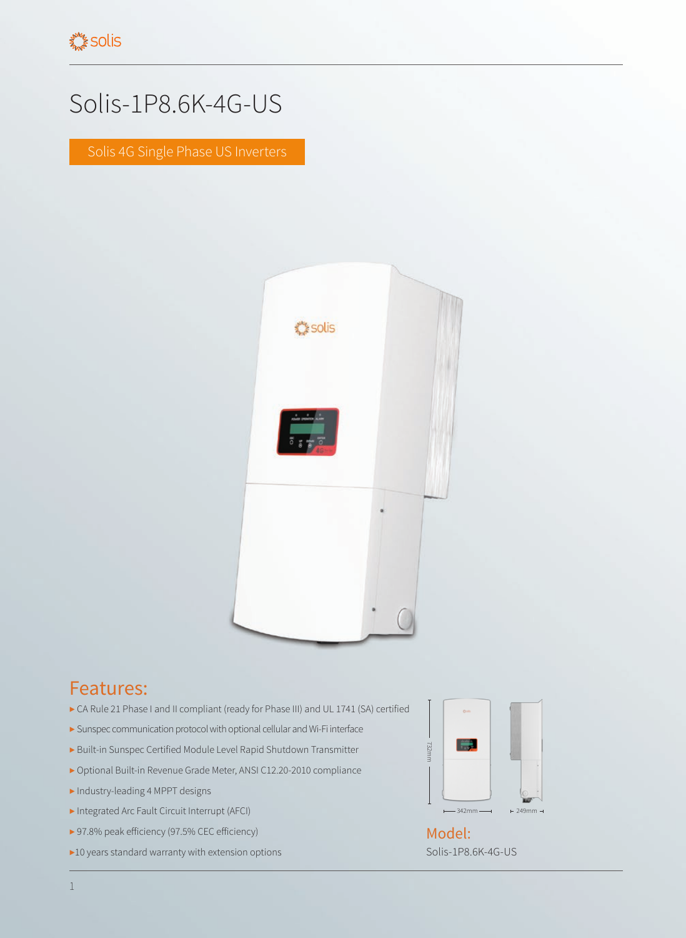## Solis-1P8.6K-4G-US

Solis 4G Single Phase US Inverters



## Features:

- ▶ CA Rule 21 Phase I and II compliant (ready for Phase III) and UL 1741 (SA) certified
- ▶ Sunspec communication protocol with optional cellular and Wi-Fi interface
- ▶ Built-in Sunspec Certified Module Level Rapid Shutdown Transmitter
- ▶ Optional Built-in Revenue Grade Meter, ANSI C12.20-2010 compliance
- ▶ Industry-leading 4 MPPT designs
- ▶ Integrated Arc Fault Circuit Interrupt (AFCI)
- ▶ 97.8% peak efficiency (97.5% CEC efficiency)
- ▶10 years standard warranty with extension options



Solis-1P8.6K-4G-US Model: